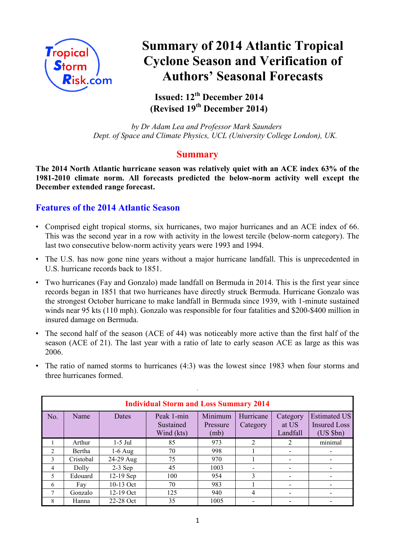

# **Summary of 2014 Atlantic Tropical Cyclone Season and Verification of Authors' Seasonal Forecasts**

**Issued: 12th December 2014 (Revised 19th December 2014)**

*by Dr Adam Lea and Professor Mark Saunders Dept. of Space and Climate Physics, UCL (University College London), UK.*

## **Summary**

**The 2014 North Atlantic hurricane season was relatively quiet with an ACE index 63% of the 1981-2010 climate norm. All forecasts predicted the below-norm activity well except the December extended range forecast.**

## **Features of the 2014 Atlantic Season**

- Comprised eight tropical storms, six hurricanes, two major hurricanes and an ACE index of 66. This was the second year in a row with activity in the lowest tercile (below-norm category). The last two consecutive below-norm activity years were 1993 and 1994.
- The U.S. has now gone nine years without a major hurricane landfall. This is unprecedented in U.S. hurricane records back to 1851.
- Two hurricanes (Fay and Gonzalo) made landfall on Bermuda in 2014. This is the first year since records began in 1851 that two hurricanes have directly struck Bermuda. Hurricane Gonzalo was the strongest October hurricane to make landfall in Bermuda since 1939, with 1-minute sustained winds near 95 kts (110 mph). Gonzalo was responsible for four fatalities and \$200-\$400 million in insured damage on Bermuda.
- The second half of the season (ACE of 44) was noticeably more active than the first half of the season (ACE of 21). The last year with a ratio of late to early season ACE as large as this was 2006.
- The ratio of named storms to hurricanes (4:3) was the lowest since 1983 when four storms and three hurricanes formed.

.

| <b>Individual Storm and Loss Summary 2014</b> |           |              |                                       |                             |                       |                               |                                                            |  |
|-----------------------------------------------|-----------|--------------|---------------------------------------|-----------------------------|-----------------------|-------------------------------|------------------------------------------------------------|--|
| No.                                           | Name      | <b>Dates</b> | Peak 1-min<br>Sustained<br>Wind (kts) | Minimum<br>Pressure<br>(mb) | Hurricane<br>Category | Category<br>at US<br>Landfall | <b>Estimated US</b><br><b>Insured Loss</b><br>$(US$ $$bn)$ |  |
|                                               | Arthur    | $1-5$ Jul    | 85                                    | 973                         | $\overline{2}$        | 2                             | minimal                                                    |  |
| 2                                             | Bertha    | $1-6$ Aug    | 70                                    | 998                         |                       |                               |                                                            |  |
| 3                                             | Cristobal | 24-29 Aug    | 75                                    | 970                         |                       |                               |                                                            |  |
| $\overline{4}$                                | Dolly     | $2-3$ Sep    | 45                                    | 1003                        |                       |                               |                                                            |  |
| 5                                             | Edouard   | 12-19 Sep    | 100                                   | 954                         | $\mathbf{3}$          |                               |                                                            |  |
| 6                                             | Fay       | 10-13 Oct    | 70                                    | 983                         |                       |                               |                                                            |  |
| 7                                             | Gonzalo   | $12-19$ Oct  | 125                                   | 940                         | 4                     |                               |                                                            |  |
| 8                                             | Hanna     | 22-28 Oct    | 35                                    | 1005                        |                       |                               |                                                            |  |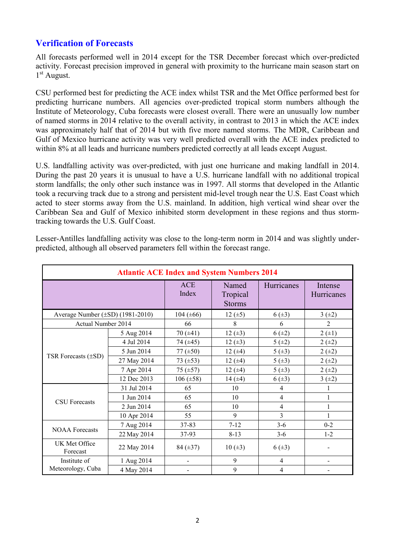## **Verification of Forecasts**

All forecasts performed well in 2014 except for the TSR December forecast which over-predicted activity. Forecast precision improved in general with proximity to the hurricane main season start on 1 st August.

CSU performed best for predicting the ACE index whilst TSR and the Met Office performed best for predicting hurricane numbers. All agencies over-predicted tropical storm numbers although the Institute of Meteorology, Cuba forecasts were closest overall. There were an unusually low number of named storms in 2014 relative to the overall activity, in contrast to 2013 in which the ACE index was approximately half that of 2014 but with five more named storms. The MDR, Caribbean and Gulf of Mexico hurricane activity was very well predicted overall with the ACE index predicted to within 8% at all leads and hurricane numbers predicted correctly at all leads except August.

U.S. landfalling activity was over-predicted, with just one hurricane and making landfall in 2014. During the past 20 years it is unusual to have a U.S. hurricane landfall with no additional tropical storm landfalls; the only other such instance was in 1997. All storms that developed in the Atlantic took a recurving track due to a strong and persistent mid-level trough near the U.S. East Coast which acted to steer storms away from the U.S. mainland. In addition, high vertical wind shear over the Caribbean Sea and Gulf of Mexico inhibited storm development in these regions and thus stormtracking towards the U.S. Gulf Coast.

| <b>Atlantic ACE Index and System Numbers 2014</b> |             |                     |                                    |                |                       |  |
|---------------------------------------------------|-------------|---------------------|------------------------------------|----------------|-----------------------|--|
|                                                   |             | <b>ACE</b><br>Index | Named<br>Tropical<br><b>Storms</b> | Hurricanes     | Intense<br>Hurricanes |  |
| Average Number $(\pm SD)$ (1981-2010)             |             | 104 ( $\pm 66$ )    | 12 $(\pm 5)$                       | $6(\pm 3)$     | 3(±2)                 |  |
| Actual Number 2014                                |             | 66                  | 8                                  | 6              | $\overline{2}$        |  |
|                                                   | 5 Aug 2014  | 70(.41)             | $12 (+3)$                          | $6(\pm 2)$     | $2 (+1)$              |  |
|                                                   | 4 Jul 2014  | 74 $(±45)$          | $12 (+3)$                          | 5(±2)          | $2 (+2)$              |  |
|                                                   | 5 Jun 2014  | 77 $(\pm 50)$       | 12 $(±4)$                          | $5(\pm 3)$     | $2 (+2)$              |  |
| TSR Forecasts $(\pm SD)$                          | 27 May 2014 | 73 $(\pm 53)$       | $12 (+4)$                          | 5(.43)         | $2 (+2)$              |  |
|                                                   | 7 Apr 2014  | $75 \ (\pm 57)$     | 12 $(±4)$                          | $5(\pm 3)$     | $2 (+2)$              |  |
|                                                   | 12 Dec 2013 | $106 (\pm 58)$      | 14 $(±4)$                          | $6(\pm 3)$     | 3(±2)                 |  |
|                                                   | 31 Jul 2014 | 65                  | 10                                 | 4              |                       |  |
| <b>CSU</b> Forecasts                              | 1 Jun 2014  | 65                  | 10                                 | 4              |                       |  |
|                                                   | 2 Jun 2014  | 65                  | 10                                 | $\overline{4}$ | 1                     |  |
|                                                   | 10 Apr 2014 | 55                  | 9                                  | 3              |                       |  |
| <b>NOAA</b> Forecasts                             | 7 Aug 2014  | 37-83               | $7 - 12$                           | $3-6$          | $0 - 2$               |  |
|                                                   | 22 May 2014 | 37-93               | $8 - 13$                           | $3-6$          | $1-2$                 |  |
| UK Met Office<br>Forecast                         | 22 May 2014 | 84 $(\pm 37)$       | $10 (\pm 3)$                       | $6(\pm 3)$     |                       |  |
| Institute of                                      | 1 Aug 2014  | -                   | 9                                  | 4              |                       |  |
| Meteorology, Cuba                                 | 4 May 2014  |                     | 9                                  | 4              |                       |  |

Lesser-Antilles landfalling activity was close to the long-term norm in 2014 and was slightly underpredicted, although all observed parameters fell within the forecast range.